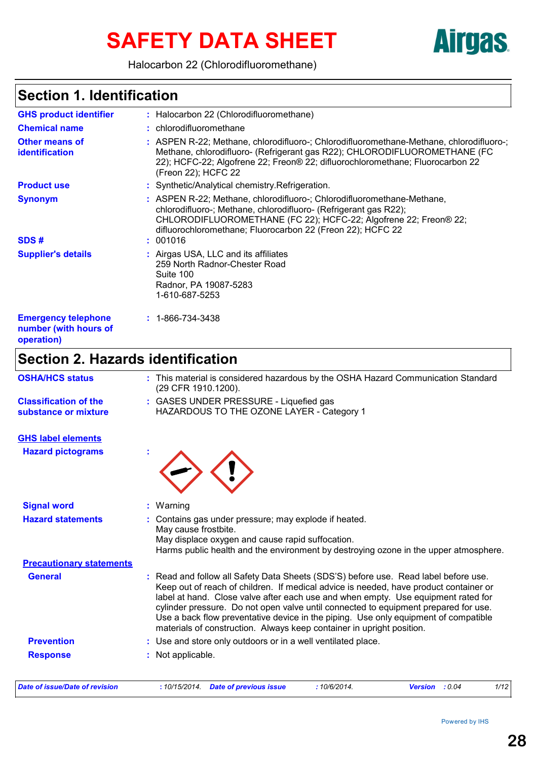# SAFETY DATA SHEET **AITUAS**

Halocarbon 22 (Chlorodifluoromethane)

### **Section 1. Identification**

| <b>GHS product identifier</b>                                     | : Halocarbon 22 (Chlorodifluoromethane)                                                                                                                                                                                                                                      |
|-------------------------------------------------------------------|------------------------------------------------------------------------------------------------------------------------------------------------------------------------------------------------------------------------------------------------------------------------------|
| <b>Chemical name</b>                                              | : chlorodifluoromethane                                                                                                                                                                                                                                                      |
| <b>Other means of</b><br><b>identification</b>                    | : ASPEN R-22; Methane, chlorodifluoro-; Chlorodifluoromethane-Methane, chlorodifluoro-;<br>Methane, chlorodifluoro- (Refrigerant gas R22); CHLORODIFLUOROMETHANE (FC<br>22); HCFC-22; Algofrene 22; Freon® 22; difluorochloromethane; Fluorocarbon 22<br>(Freon 22); HCFC 22 |
| <b>Product use</b>                                                | : Synthetic/Analytical chemistry. Refrigeration.                                                                                                                                                                                                                             |
| <b>Synonym</b>                                                    | : ASPEN R-22; Methane, chlorodifluoro-; Chlorodifluoromethane-Methane,<br>chlorodifluoro-; Methane, chlorodifluoro- (Refrigerant gas R22);<br>CHLORODIFLUOROMETHANE (FC 22); HCFC-22; Algofrene 22; Freon® 22;<br>difluorochloromethane; Fluorocarbon 22 (Freon 22); HCFC 22 |
| SDS#                                                              | : 001016                                                                                                                                                                                                                                                                     |
| <b>Supplier's details</b>                                         | : Airgas USA, LLC and its affiliates<br>259 North Radnor-Chester Road<br>Suite 100<br>Radnor, PA 19087-5283<br>1-610-687-5253                                                                                                                                                |
| <b>Emergency telephone</b><br>number (with hours of<br>operation) | $: 1 - 866 - 734 - 3438$                                                                                                                                                                                                                                                     |

# **Section 2. Hazards identification**

| <b>OSHA/HCS status</b>                               | : This material is considered hazardous by the OSHA Hazard Communication Standard<br>(29 CFR 1910.1200).                                                                                                                                                                                                                                                                                                                                                                                                                 |
|------------------------------------------------------|--------------------------------------------------------------------------------------------------------------------------------------------------------------------------------------------------------------------------------------------------------------------------------------------------------------------------------------------------------------------------------------------------------------------------------------------------------------------------------------------------------------------------|
| <b>Classification of the</b><br>substance or mixture | : GASES UNDER PRESSURE - Liquefied gas<br>HAZARDOUS TO THE OZONE LAYER - Category 1                                                                                                                                                                                                                                                                                                                                                                                                                                      |
| <b>GHS label elements</b>                            |                                                                                                                                                                                                                                                                                                                                                                                                                                                                                                                          |
| <b>Hazard pictograms</b>                             |                                                                                                                                                                                                                                                                                                                                                                                                                                                                                                                          |
| <b>Signal word</b>                                   | : Warning                                                                                                                                                                                                                                                                                                                                                                                                                                                                                                                |
| <b>Hazard statements</b>                             | Contains gas under pressure; may explode if heated.<br>May cause frostbite.<br>May displace oxygen and cause rapid suffocation.<br>Harms public health and the environment by destroying ozone in the upper atmosphere.                                                                                                                                                                                                                                                                                                  |
| <b>Precautionary statements</b>                      |                                                                                                                                                                                                                                                                                                                                                                                                                                                                                                                          |
| <b>General</b>                                       | : Read and follow all Safety Data Sheets (SDS'S) before use. Read label before use.<br>Keep out of reach of children. If medical advice is needed, have product container or<br>label at hand. Close valve after each use and when empty. Use equipment rated for<br>cylinder pressure. Do not open valve until connected to equipment prepared for use.<br>Use a back flow preventative device in the piping. Use only equipment of compatible<br>materials of construction. Always keep container in upright position. |
| <b>Prevention</b>                                    | : Use and store only outdoors or in a well ventilated place.                                                                                                                                                                                                                                                                                                                                                                                                                                                             |
| <b>Response</b>                                      | : Not applicable.                                                                                                                                                                                                                                                                                                                                                                                                                                                                                                        |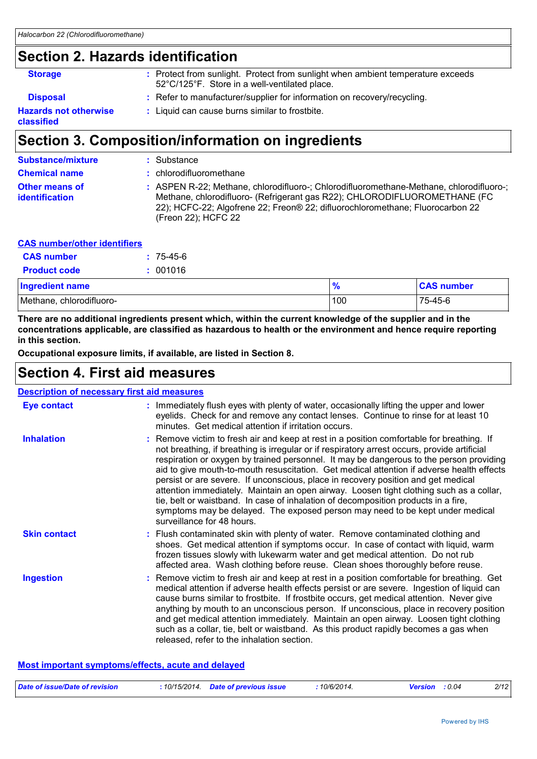# **Section 2. Hazards identification**

| <b>Storage</b>                             | : Protect from sunlight. Protect from sunlight when ambient temperature exceeds<br>52°C/125°F. Store in a well-ventilated place. |
|--------------------------------------------|----------------------------------------------------------------------------------------------------------------------------------|
| <b>Disposal</b>                            | : Refer to manufacturer/supplier for information on recovery/recycling.                                                          |
| <b>Hazards not otherwise</b><br>classified | : Liquid can cause burns similar to frostbite.                                                                                   |

# **Section 3. Composition/information on ingredients**

| <b>Substance/mixture</b>                       | : Substance                                                                                                                                                                                                                                                                  |
|------------------------------------------------|------------------------------------------------------------------------------------------------------------------------------------------------------------------------------------------------------------------------------------------------------------------------------|
| <b>Chemical name</b>                           | : chlorodifluoromethane                                                                                                                                                                                                                                                      |
| <b>Other means of</b><br><i>identification</i> | : ASPEN R-22; Methane, chlorodifluoro-; Chlorodifluoromethane-Methane, chlorodifluoro-;<br>Methane, chlorodifluoro- (Refrigerant gas R22); CHLORODIFLUOROMETHANE (FC<br>22); HCFC-22; Algofrene 22; Freon® 22; difluorochloromethane; Fluorocarbon 22<br>(Freon 22); HCFC 22 |

#### **CAS number/other identifiers**

| <b>CAS number</b>   | $: 75-45-6$ |
|---------------------|-------------|
| <b>Product code</b> | : 001016    |

| <b>Ingredient name</b>   | 70  | <b>CAS number</b> |
|--------------------------|-----|-------------------|
| Methane, chlorodifluoro- | 100 | 75-45-6           |

**There are no additional ingredients present which, within the current knowledge of the supplier and in the concentrations applicable, are classified as hazardous to health or the environment and hence require reporting in this section.**

**Occupational exposure limits, if available, are listed in Section 8.**

### **Section 4. First aid measures**

| <b>Description of necessary first aid measures</b>                                                                                                                                                                                                                                                                                                                                                                                                                                                                                                                                                                                                                                                                                                                     |
|------------------------------------------------------------------------------------------------------------------------------------------------------------------------------------------------------------------------------------------------------------------------------------------------------------------------------------------------------------------------------------------------------------------------------------------------------------------------------------------------------------------------------------------------------------------------------------------------------------------------------------------------------------------------------------------------------------------------------------------------------------------------|
| : Immediately flush eyes with plenty of water, occasionally lifting the upper and lower<br>eyelids. Check for and remove any contact lenses. Continue to rinse for at least 10<br>minutes. Get medical attention if irritation occurs.                                                                                                                                                                                                                                                                                                                                                                                                                                                                                                                                 |
| : Remove victim to fresh air and keep at rest in a position comfortable for breathing. If<br>not breathing, if breathing is irregular or if respiratory arrest occurs, provide artificial<br>respiration or oxygen by trained personnel. It may be dangerous to the person providing<br>aid to give mouth-to-mouth resuscitation. Get medical attention if adverse health effects<br>persist or are severe. If unconscious, place in recovery position and get medical<br>attention immediately. Maintain an open airway. Loosen tight clothing such as a collar,<br>tie, belt or waistband. In case of inhalation of decomposition products in a fire,<br>symptoms may be delayed. The exposed person may need to be kept under medical<br>surveillance for 48 hours. |
| : Flush contaminated skin with plenty of water. Remove contaminated clothing and<br>shoes. Get medical attention if symptoms occur. In case of contact with liquid, warm<br>frozen tissues slowly with lukewarm water and get medical attention. Do not rub<br>affected area. Wash clothing before reuse. Clean shoes thoroughly before reuse.                                                                                                                                                                                                                                                                                                                                                                                                                         |
| : Remove victim to fresh air and keep at rest in a position comfortable for breathing. Get<br>medical attention if adverse health effects persist or are severe. Ingestion of liquid can<br>cause burns similar to frostbite. If frostbite occurs, get medical attention. Never give<br>anything by mouth to an unconscious person. If unconscious, place in recovery position<br>and get medical attention immediately. Maintain an open airway. Loosen tight clothing<br>such as a collar, tie, belt or waistband. As this product rapidly becomes a gas when<br>released, refer to the inhalation section.                                                                                                                                                          |
|                                                                                                                                                                                                                                                                                                                                                                                                                                                                                                                                                                                                                                                                                                                                                                        |

#### **Most important symptoms/effects, acute and delayed**

| Date of issue/Date of revision | 10/15/2014. | <b>Date of previous issue</b> | 10/6/2014. | Version | : 0.04 | 2/12 |
|--------------------------------|-------------|-------------------------------|------------|---------|--------|------|
|                                |             |                               |            |         |        |      |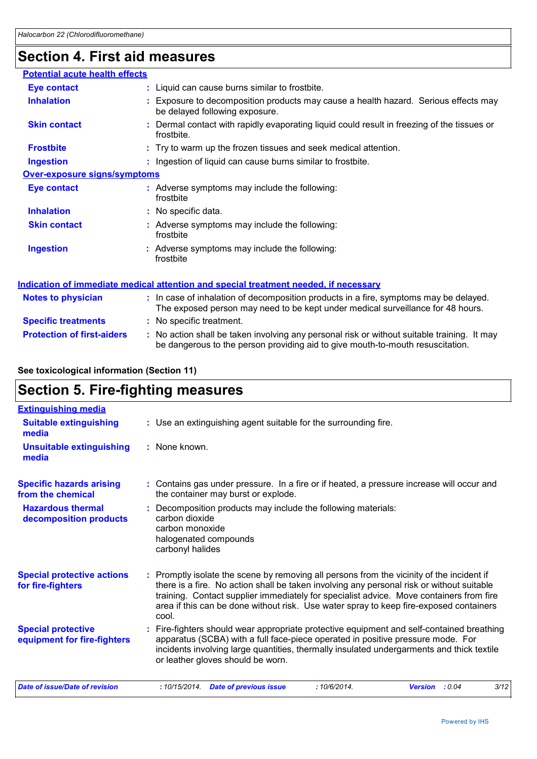# **Section 4. First aid measures**

| <b>Potential acute health effects</b> |                                                                                                                                                                               |  |
|---------------------------------------|-------------------------------------------------------------------------------------------------------------------------------------------------------------------------------|--|
| <b>Eye contact</b>                    | : Liquid can cause burns similar to frostbite.                                                                                                                                |  |
| <b>Inhalation</b>                     | : Exposure to decomposition products may cause a health hazard. Serious effects may<br>be delayed following exposure.                                                         |  |
| <b>Skin contact</b>                   | Dermal contact with rapidly evaporating liquid could result in freezing of the tissues or<br>frostbite.                                                                       |  |
| <b>Frostbite</b>                      | : Try to warm up the frozen tissues and seek medical attention.                                                                                                               |  |
| <b>Ingestion</b>                      | : Ingestion of liquid can cause burns similar to frostbite.                                                                                                                   |  |
| <b>Over-exposure signs/symptoms</b>   |                                                                                                                                                                               |  |
| <b>Eye contact</b>                    | : Adverse symptoms may include the following:<br>frostbite                                                                                                                    |  |
| <b>Inhalation</b>                     | : No specific data.                                                                                                                                                           |  |
| <b>Skin contact</b>                   | : Adverse symptoms may include the following:<br>frostbite                                                                                                                    |  |
| <b>Ingestion</b>                      | : Adverse symptoms may include the following:<br>frostbite                                                                                                                    |  |
|                                       | Indication of immediate medical attention and special treatment needed, if necessary                                                                                          |  |
| <b>Notes to physician</b>             | : In case of inhalation of decomposition products in a fire, symptoms may be delayed.<br>The exposed person may need to be kept under medical surveillance for 48 hours.      |  |
| <b>Specific treatments</b>            | : No specific treatment.                                                                                                                                                      |  |
| <b>Protection of first-aiders</b>     | : No action shall be taken involving any personal risk or without suitable training. It may<br>be dangerous to the person providing aid to give mouth-to-mouth resuscitation. |  |

#### **See toxicological information (Section 11)**

### **Section 5. Fire-fighting measures**

| <b>Extinguishing media</b>                               |                                                                                                                                                                                                                                                                                                                                                                                    |
|----------------------------------------------------------|------------------------------------------------------------------------------------------------------------------------------------------------------------------------------------------------------------------------------------------------------------------------------------------------------------------------------------------------------------------------------------|
| <b>Suitable extinguishing</b><br>media                   | : Use an extinguishing agent suitable for the surrounding fire.                                                                                                                                                                                                                                                                                                                    |
| <b>Unsuitable extinguishing</b><br>media                 | : None known.                                                                                                                                                                                                                                                                                                                                                                      |
| <b>Specific hazards arising</b><br>from the chemical     | : Contains gas under pressure. In a fire or if heated, a pressure increase will occur and<br>the container may burst or explode.                                                                                                                                                                                                                                                   |
| <b>Hazardous thermal</b><br>decomposition products       | Decomposition products may include the following materials:<br>carbon dioxide<br>carbon monoxide<br>halogenated compounds<br>carbonyl halides                                                                                                                                                                                                                                      |
| <b>Special protective actions</b><br>for fire-fighters   | Promptly isolate the scene by removing all persons from the vicinity of the incident if<br>there is a fire. No action shall be taken involving any personal risk or without suitable<br>training. Contact supplier immediately for specialist advice. Move containers from fire<br>area if this can be done without risk. Use water spray to keep fire-exposed containers<br>cool. |
| <b>Special protective</b><br>equipment for fire-fighters | Fire-fighters should wear appropriate protective equipment and self-contained breathing<br>apparatus (SCBA) with a full face-piece operated in positive pressure mode. For<br>incidents involving large quantities, thermally insulated undergarments and thick textile<br>or leather gloves should be worn.                                                                       |
| Date of issue/Date of revision                           | <b>Date of previous issue</b><br>3/12<br>:10/15/2014.<br>:10/6/2014.<br><b>Version</b><br>: 0.04                                                                                                                                                                                                                                                                                   |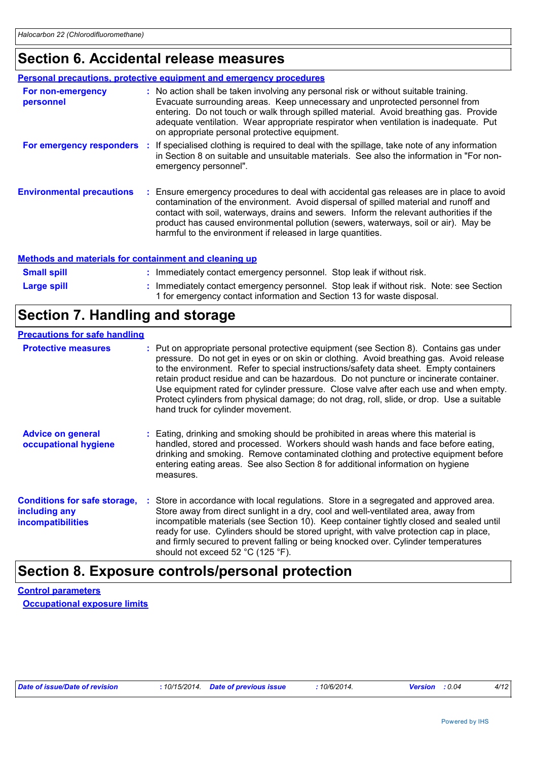# **Section 6. Accidental release measures**

|                                  | <b>Personal precautions, protective equipment and emergency procedures</b>                                                                                                                                                                                                                                                                                                                                                        |
|----------------------------------|-----------------------------------------------------------------------------------------------------------------------------------------------------------------------------------------------------------------------------------------------------------------------------------------------------------------------------------------------------------------------------------------------------------------------------------|
| For non-emergency<br>personnel   | : No action shall be taken involving any personal risk or without suitable training.<br>Evacuate surrounding areas. Keep unnecessary and unprotected personnel from<br>entering. Do not touch or walk through spilled material. Avoid breathing gas. Provide<br>adequate ventilation. Wear appropriate respirator when ventilation is inadequate. Put<br>on appropriate personal protective equipment.                            |
| For emergency responders         | : If specialised clothing is required to deal with the spillage, take note of any information<br>in Section 8 on suitable and unsuitable materials. See also the information in "For non-<br>emergency personnel".                                                                                                                                                                                                                |
| <b>Environmental precautions</b> | : Ensure emergency procedures to deal with accidental gas releases are in place to avoid<br>contamination of the environment. Avoid dispersal of spilled material and runoff and<br>contact with soil, waterways, drains and sewers. Inform the relevant authorities if the<br>product has caused environmental pollution (sewers, waterways, soil or air). May be<br>harmful to the environment if released in large quantities. |

#### **Methods and materials for containment and cleaning up**

| <b>Small spill</b> | : Immediately contact emergency personnel. Stop leak if without risk.                                                                                             |  |
|--------------------|-------------------------------------------------------------------------------------------------------------------------------------------------------------------|--|
| <b>Large spill</b> | : Immediately contact emergency personnel. Stop leak if without risk. Note: see Section<br>1 for emergency contact information and Section 13 for waste disposal. |  |

### **Section 7. Handling and storage**

#### **Precautions for safe handling**

| <b>Protective measures</b>                                                       | : Put on appropriate personal protective equipment (see Section 8). Contains gas under<br>pressure. Do not get in eyes or on skin or clothing. Avoid breathing gas. Avoid release<br>to the environment. Refer to special instructions/safety data sheet. Empty containers<br>retain product residue and can be hazardous. Do not puncture or incinerate container.<br>Use equipment rated for cylinder pressure. Close valve after each use and when empty.<br>Protect cylinders from physical damage; do not drag, roll, slide, or drop. Use a suitable<br>hand truck for cylinder movement. |
|----------------------------------------------------------------------------------|------------------------------------------------------------------------------------------------------------------------------------------------------------------------------------------------------------------------------------------------------------------------------------------------------------------------------------------------------------------------------------------------------------------------------------------------------------------------------------------------------------------------------------------------------------------------------------------------|
| <b>Advice on general</b><br>occupational hygiene                                 | : Eating, drinking and smoking should be prohibited in areas where this material is<br>handled, stored and processed. Workers should wash hands and face before eating,<br>drinking and smoking. Remove contaminated clothing and protective equipment before<br>entering eating areas. See also Section 8 for additional information on hygiene<br>measures.                                                                                                                                                                                                                                  |
| <b>Conditions for safe storage,</b><br>including any<br><b>incompatibilities</b> | : Store in accordance with local regulations. Store in a segregated and approved area.<br>Store away from direct sunlight in a dry, cool and well-ventilated area, away from<br>incompatible materials (see Section 10). Keep container tightly closed and sealed until<br>ready for use. Cylinders should be stored upright, with valve protection cap in place,<br>and firmly secured to prevent falling or being knocked over. Cylinder temperatures<br>should not exceed 52 °C (125 °F).                                                                                                   |

### **Section 8. Exposure controls/personal protection**

**Control parameters Occupational exposure limits**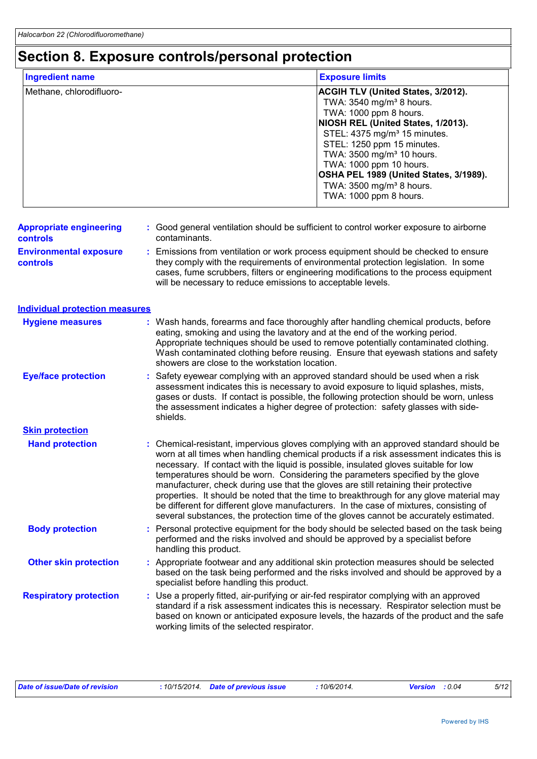# **Section 8. Exposure controls/personal protection**

| <b>Ingredient name</b>   | <b>Exposure limits</b>                                                                                                                                                                                                                                                                                                                                                                                      |
|--------------------------|-------------------------------------------------------------------------------------------------------------------------------------------------------------------------------------------------------------------------------------------------------------------------------------------------------------------------------------------------------------------------------------------------------------|
| Methane, chlorodifluoro- | <b>ACGIH TLV (United States, 3/2012).</b><br>TWA: 3540 mg/m <sup>3</sup> 8 hours.<br>TWA: 1000 ppm 8 hours.<br>NIOSH REL (United States, 1/2013).<br>STEL: 4375 mg/m <sup>3</sup> 15 minutes.<br>STEL: 1250 ppm 15 minutes.<br>TWA: 3500 mg/m <sup>3</sup> 10 hours.<br>TWA: 1000 ppm 10 hours.<br>OSHA PEL 1989 (United States, 3/1989).<br>TWA: 3500 mg/m <sup>3</sup> 8 hours.<br>TWA: 1000 ppm 8 hours. |

| <b>Appropriate engineering</b>                   | : Good general ventilation should be sufficient to control worker exposure to airborne                                                                                                                                                                           |
|--------------------------------------------------|------------------------------------------------------------------------------------------------------------------------------------------------------------------------------------------------------------------------------------------------------------------|
| <b>controls</b>                                  | contaminants.                                                                                                                                                                                                                                                    |
| <b>Environmental exposure</b><br><b>controls</b> | : Emissions from ventilation or work process equipment should be checked to ensure<br>they comply with the requirements of environmental protection legislation. In some<br>cases, fume scrubbers, filters or engineering modifications to the process equipment |

| will be necessary to reduce emissions to acceptable levels. |  |
|-------------------------------------------------------------|--|
|                                                             |  |

| <b>Individual protection measures</b> |    |                                                                                                                                                                                                                                                                                                                                                                                                                                                                                                                                                                                                                                                                                                                                |
|---------------------------------------|----|--------------------------------------------------------------------------------------------------------------------------------------------------------------------------------------------------------------------------------------------------------------------------------------------------------------------------------------------------------------------------------------------------------------------------------------------------------------------------------------------------------------------------------------------------------------------------------------------------------------------------------------------------------------------------------------------------------------------------------|
| <b>Hygiene measures</b>               |    | : Wash hands, forearms and face thoroughly after handling chemical products, before<br>eating, smoking and using the lavatory and at the end of the working period.<br>Appropriate techniques should be used to remove potentially contaminated clothing.<br>Wash contaminated clothing before reusing. Ensure that eyewash stations and safety<br>showers are close to the workstation location.                                                                                                                                                                                                                                                                                                                              |
| <b>Eye/face protection</b>            |    | Safety eyewear complying with an approved standard should be used when a risk<br>assessment indicates this is necessary to avoid exposure to liquid splashes, mists,<br>gases or dusts. If contact is possible, the following protection should be worn, unless<br>the assessment indicates a higher degree of protection: safety glasses with side-<br>shields.                                                                                                                                                                                                                                                                                                                                                               |
| <b>Skin protection</b>                |    |                                                                                                                                                                                                                                                                                                                                                                                                                                                                                                                                                                                                                                                                                                                                |
| <b>Hand protection</b>                | t. | Chemical-resistant, impervious gloves complying with an approved standard should be<br>worn at all times when handling chemical products if a risk assessment indicates this is<br>necessary. If contact with the liquid is possible, insulated gloves suitable for low<br>temperatures should be worn. Considering the parameters specified by the glove<br>manufacturer, check during use that the gloves are still retaining their protective<br>properties. It should be noted that the time to breakthrough for any glove material may<br>be different for different glove manufacturers. In the case of mixtures, consisting of<br>several substances, the protection time of the gloves cannot be accurately estimated. |
| <b>Body protection</b>                |    | Personal protective equipment for the body should be selected based on the task being<br>performed and the risks involved and should be approved by a specialist before<br>handling this product.                                                                                                                                                                                                                                                                                                                                                                                                                                                                                                                              |
| <b>Other skin protection</b>          |    | Appropriate footwear and any additional skin protection measures should be selected<br>based on the task being performed and the risks involved and should be approved by a<br>specialist before handling this product.                                                                                                                                                                                                                                                                                                                                                                                                                                                                                                        |
| <b>Respiratory protection</b>         |    | Use a properly fitted, air-purifying or air-fed respirator complying with an approved<br>standard if a risk assessment indicates this is necessary. Respirator selection must be<br>based on known or anticipated exposure levels, the hazards of the product and the safe<br>working limits of the selected respirator.                                                                                                                                                                                                                                                                                                                                                                                                       |

| Date of issue/Date of revision | : 10/15/2014 Date of previous issue | 10/6/2014. | <b>Version</b> : 0.04 | 5/12 |
|--------------------------------|-------------------------------------|------------|-----------------------|------|
|                                |                                     |            |                       |      |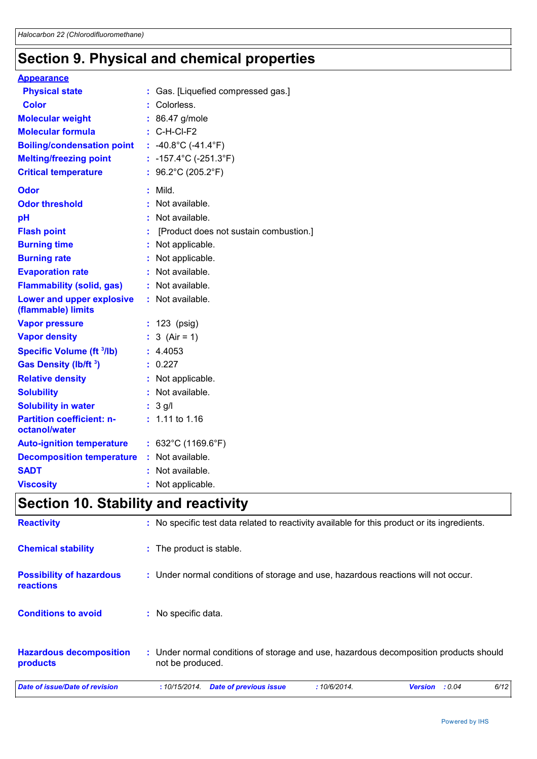# **Section 9. Physical and chemical properties**

| <b>Appearance</b>                                 |                                            |
|---------------------------------------------------|--------------------------------------------|
| <b>Physical state</b>                             | : Gas. [Liquefied compressed gas.]         |
| <b>Color</b>                                      | Colorless.                                 |
| <b>Molecular weight</b>                           | : 86.47 g/mole                             |
| <b>Molecular formula</b>                          | $: C-H-CI-F2$                              |
| <b>Boiling/condensation point</b>                 | : -40.8°C (-41.4°F)                        |
| <b>Melting/freezing point</b>                     | : $-157.4^{\circ}$ C ( $-251.3^{\circ}$ F) |
| <b>Critical temperature</b>                       | : $96.2^{\circ}$ C (205.2 $^{\circ}$ F)    |
| Odor                                              | Mild.                                      |
| <b>Odor threshold</b>                             | Not available.                             |
| pH                                                | Not available.                             |
| <b>Flash point</b>                                | [Product does not sustain combustion.]     |
| <b>Burning time</b>                               | Not applicable.                            |
| <b>Burning rate</b>                               | Not applicable.                            |
| <b>Evaporation rate</b>                           | Not available.                             |
| <b>Flammability (solid, gas)</b>                  | : Not available.                           |
| Lower and upper explosive<br>(flammable) limits   | : Not available.                           |
| <b>Vapor pressure</b>                             | : 123 (psig)                               |
| <b>Vapor density</b>                              | 3 $(Air = 1)$                              |
| <b>Specific Volume (ft 3/lb)</b>                  | : 4.4053                                   |
| Gas Density (lb/ft <sup>3</sup> )                 | : 0.227                                    |
| <b>Relative density</b>                           | : Not applicable.                          |
| <b>Solubility</b>                                 | : Not available.                           |
| <b>Solubility in water</b>                        | $: 3$ g/l                                  |
| <b>Partition coefficient: n-</b><br>octanol/water | $: 1.11$ to 1.16                           |
| <b>Auto-ignition temperature</b>                  | : $632^{\circ}$ C (1169.6 $^{\circ}$ F)    |
| <b>Decomposition temperature</b>                  | : Not available.                           |
| <b>SADT</b>                                       | Not available.                             |
| <b>Viscosity</b>                                  | Not applicable.                            |

# **Section 10. Stability and reactivity**

| Date of issue/Date of revision               | 6/12<br>:10/6/2014.<br>: 0.04<br>:10/15/2014.<br><b>Date of previous issue</b><br><b>Version</b>          |
|----------------------------------------------|-----------------------------------------------------------------------------------------------------------|
| <b>Hazardous decomposition</b><br>products   | : Under normal conditions of storage and use, hazardous decomposition products should<br>not be produced. |
| <b>Conditions to avoid</b>                   | No specific data.<br>÷.                                                                                   |
| <b>Possibility of hazardous</b><br>reactions | : Under normal conditions of storage and use, hazardous reactions will not occur.                         |
| <b>Chemical stability</b>                    | : The product is stable.                                                                                  |
| <b>Reactivity</b>                            | : No specific test data related to reactivity available for this product or its ingredients.              |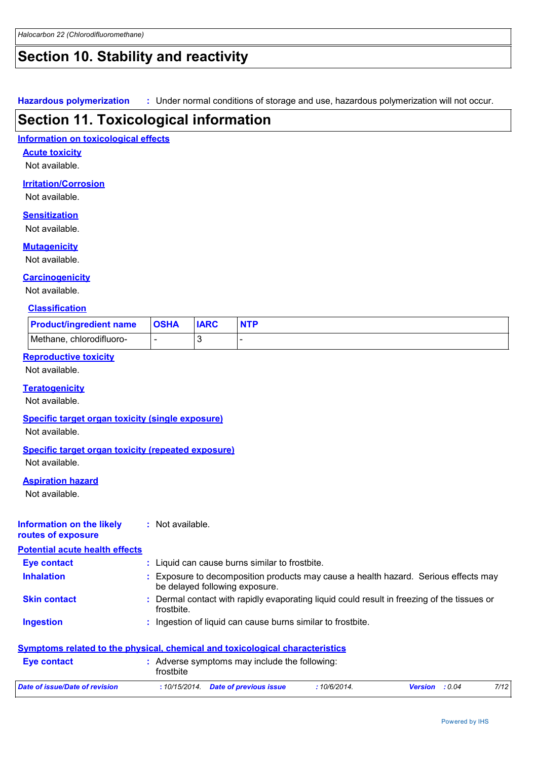# **Section 10. Stability and reactivity**

**Hazardous polymerization :** Under normal conditions of storage and use, hazardous polymerization will not occur.

### **Section 11. Toxicological information**

#### **Information on toxicological effects**

**Acute toxicity**

Not available.

#### **Irritation/Corrosion**

Not available.

#### **Sensitization**

Not available.

#### **Mutagenicity**

Not available.

#### **Carcinogenicity**

Not available.

#### **Classification**

| <b>Product/ingredient name</b> | <b>OSHA</b> | <b>IARC</b> |  |
|--------------------------------|-------------|-------------|--|
| Methane, chlorodifluoro-       |             |             |  |

#### **Reproductive toxicity**

Not available.

#### **Teratogenicity**

Not available.

#### **Specific target organ toxicity (single exposure)**

Not available.

#### **Specific target organ toxicity (repeated exposure)**

Not available.

#### **Aspiration hazard**

Not available.

#### **Information on the likely routes of exposure :** Not available.

**Potential acute health effects**

| <b>Eye contact</b>  | : Liquid can cause burns similar to frostbite.                                                                      |
|---------------------|---------------------------------------------------------------------------------------------------------------------|
| <b>Inhalation</b>   | Exposure to decomposition products may cause a health hazard. Serious effects may<br>be delayed following exposure. |
| <b>Skin contact</b> | : Dermal contact with rapidly evaporating liquid could result in freezing of the tissues or<br>frostbite.           |
| <b>Ingestion</b>    | : Ingestion of liquid can cause burns similar to frostbite.                                                         |
|                     | Symptoms related to the physical, chemical and toxicological characteristics                                        |
| <b>Eye contact</b>  | : Adverse symptoms may include the following:<br>frostbite                                                          |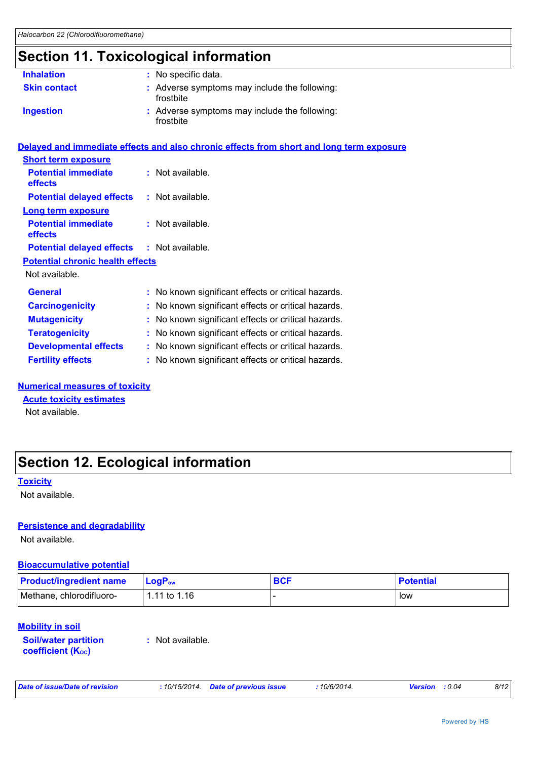# **Section 11. Toxicological information**

| <b>Inhalation</b>   | : No specific data.                                        |
|---------------------|------------------------------------------------------------|
| <b>Skin contact</b> | : Adverse symptoms may include the following:<br>frostbite |
| <b>Ingestion</b>    | : Adverse symptoms may include the following:<br>frostbite |

|                                                   | Delayed and immediate effects and also chronic effects from short and long term exposure |
|---------------------------------------------------|------------------------------------------------------------------------------------------|
| <b>Short term exposure</b>                        |                                                                                          |
| <b>Potential immediate</b><br><b>effects</b>      | $:$ Not available.                                                                       |
| <b>Potential delayed effects : Not available.</b> |                                                                                          |
| <b>Long term exposure</b>                         |                                                                                          |
| <b>Potential immediate</b><br><b>effects</b>      | : Not available.                                                                         |
| <b>Potential delayed effects : Not available.</b> |                                                                                          |
| <b>Potential chronic health effects</b>           |                                                                                          |
| Not available.                                    |                                                                                          |
| <b>General</b>                                    | : No known significant effects or critical hazards.                                      |
| <b>Carcinogenicity</b>                            | : No known significant effects or critical hazards.                                      |
| <b>Mutagenicity</b>                               | : No known significant effects or critical hazards.                                      |
| <b>Teratogenicity</b>                             | : No known significant effects or critical hazards.                                      |
| <b>Developmental effects</b>                      | : No known significant effects or critical hazards.                                      |
| <b>Fertility effects</b>                          | : No known significant effects or critical hazards.                                      |

#### **Numerical measures of toxicity**

**Acute toxicity estimates**

Not available.

# **Section 12. Ecological information**

#### **Toxicity**

Not available.

#### **Persistence and degradability**

Not available.

#### **Bioaccumulative potential**

| <b>Product/ingredient name</b> | <b>LogP</b> <sub>ow</sub> | <b>BCF</b> | <b>Potential</b> |
|--------------------------------|---------------------------|------------|------------------|
| Methane, chlorodifluoro-       | 1.11 to 1.16              |            | low              |

#### **Mobility in soil**

**Soil/water partition coefficient (KOC)**

**:** Not available.

*Date of issue/Date of revision* **:** *10/15/2014. Date of previous issue : 10/6/2014. Version : 0.04 8/12*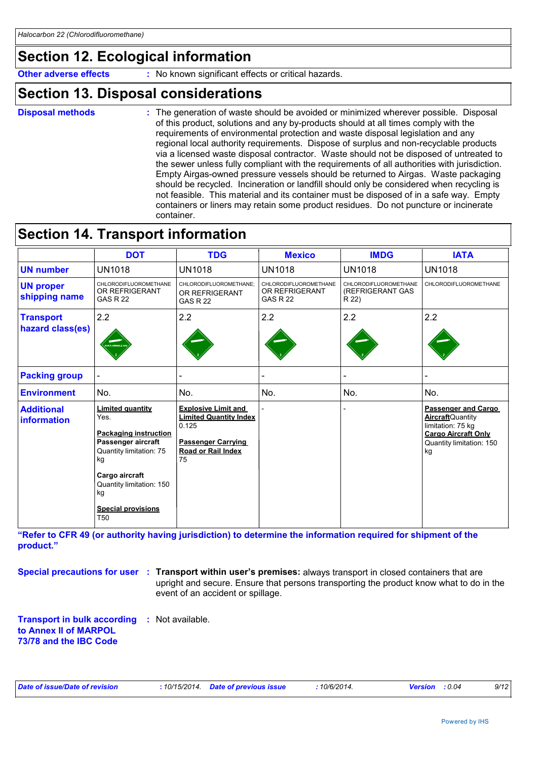# **Section 12. Ecological information**

**Other adverse effects** : No known significant effects or critical hazards.

### **Section 13. Disposal considerations**

- **Disposal methods :**
- The generation of waste should be avoided or minimized wherever possible. Disposal of this product, solutions and any by-products should at all times comply with the requirements of environmental protection and waste disposal legislation and any regional local authority requirements. Dispose of surplus and non-recyclable products via a licensed waste disposal contractor. Waste should not be disposed of untreated to the sewer unless fully compliant with the requirements of all authorities with jurisdiction. Empty Airgas-owned pressure vessels should be returned to Airgas. Waste packaging should be recycled. Incineration or landfill should only be considered when recycling is not feasible. This material and its container must be disposed of in a safe way. Empty containers or liners may retain some product residues. Do not puncture or incinerate container.

### **Section 14. Transport information**

|                                         | <b>DOT</b>                                                                                                                                                                                                                 | <b>TDG</b>                                                                                                                           | <b>Mexico</b>                                              | <b>IMDG</b>                                        | <b>IATA</b>                                                                                                                                 |
|-----------------------------------------|----------------------------------------------------------------------------------------------------------------------------------------------------------------------------------------------------------------------------|--------------------------------------------------------------------------------------------------------------------------------------|------------------------------------------------------------|----------------------------------------------------|---------------------------------------------------------------------------------------------------------------------------------------------|
| <b>UN number</b>                        | <b>UN1018</b>                                                                                                                                                                                                              | <b>UN1018</b>                                                                                                                        | <b>UN1018</b>                                              | <b>UN1018</b>                                      | <b>UN1018</b>                                                                                                                               |
| <b>UN proper</b><br>shipping name       | CHLORODIFLUOROMETHANE<br>OR REFRIGERANT<br><b>GAS R 22</b>                                                                                                                                                                 | CHLORODIFLUOROMETHANE:<br>OR REFRIGERANT<br><b>GAS R 22</b>                                                                          | CHLORODIFLUOROMETHANE<br>OR REFRIGERANT<br><b>GAS R 22</b> | CHLORODIFLUOROMETHANE<br>(REFRIGERANT GAS<br>R 22) | CHLORODIFLUOROMETHANE                                                                                                                       |
| <b>Transport</b><br>hazard class(es)    | 2.2<br><b>INFLAMMABLE GA</b>                                                                                                                                                                                               | 2.2                                                                                                                                  | 2.2                                                        | 2.2                                                | 2.2                                                                                                                                         |
| <b>Packing group</b>                    |                                                                                                                                                                                                                            |                                                                                                                                      |                                                            |                                                    |                                                                                                                                             |
| <b>Environment</b>                      | No.                                                                                                                                                                                                                        | No.                                                                                                                                  | No.                                                        | No.                                                | No.                                                                                                                                         |
| <b>Additional</b><br><b>information</b> | <b>Limited quantity</b><br>Yes.<br><b>Packaging instruction</b><br>Passenger aircraft<br>Quantity limitation: 75<br>kg<br>Cargo aircraft<br>Quantity limitation: 150<br>kg<br><b>Special provisions</b><br>T <sub>50</sub> | <b>Explosive Limit and</b><br><b>Limited Quantity Index</b><br>0.125<br><b>Passenger Carrying</b><br><b>Road or Rail Index</b><br>75 |                                                            |                                                    | <b>Passenger and Cargo</b><br><b>Aircraft</b> Quantity<br>limitation: 75 kg<br><b>Cargo Aircraft Only</b><br>Quantity limitation: 150<br>kg |

**"Refer to CFR 49 (or authority having jurisdiction) to determine the information required for shipment of the product."** 

**Special precautions for user** : Transport within user's premises: always transport in closed containers that are upright and secure. Ensure that persons transporting the product know what to do in the event of an accident or spillage.

**Transport in bulk according :** Not available. **to Annex II of MARPOL 73/78 and the IBC Code**

|  |  |  | Date of issue/Date of revision |  |
|--|--|--|--------------------------------|--|
|--|--|--|--------------------------------|--|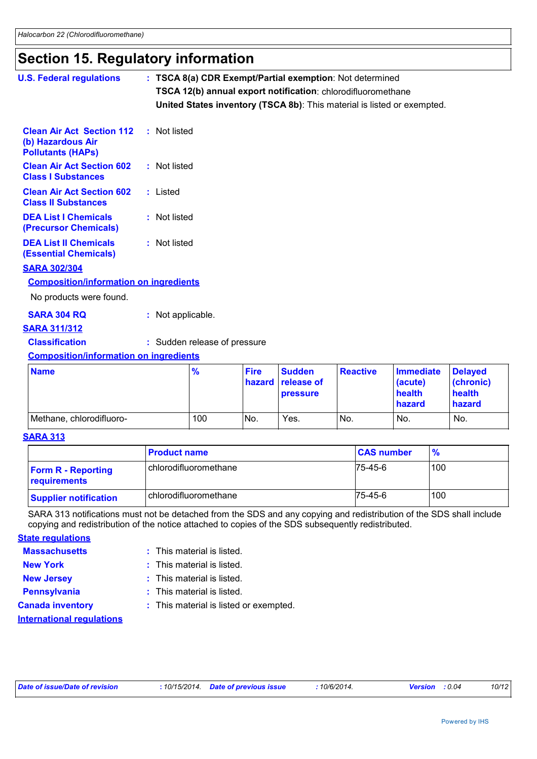### **Section 15. Regulatory information**

| <b>U.S. Federal regulations</b>                                                                | : TSCA 8(a) CDR Exempt/Partial exemption: Not determined                |
|------------------------------------------------------------------------------------------------|-------------------------------------------------------------------------|
|                                                                                                | TSCA 12(b) annual export notification: chlorodifluoromethane            |
|                                                                                                | United States inventory (TSCA 8b): This material is listed or exempted. |
| <b>Clean Air Act Section 112 : Not listed</b><br>(b) Hazardous Air<br><b>Pollutants (HAPS)</b> |                                                                         |
| <b>Clean Air Act Section 602</b><br><b>Class I Substances</b>                                  | : Not listed                                                            |
| <b>Clean Air Act Section 602</b><br><b>Class II Substances</b>                                 | : Listed                                                                |
| <b>DEA List I Chemicals</b><br><b>(Precursor Chemicals)</b>                                    | : Not listed                                                            |
| <b>DEA List II Chemicals</b><br><b>(Essential Chemicals)</b>                                   | : Not listed                                                            |
| <b>SARA 302/304</b>                                                                            |                                                                         |
| <b>Composition/information on ingredients</b>                                                  |                                                                         |
| No products were found.                                                                        |                                                                         |
| <b>SARA 304 RQ</b><br><b>SARA 311/312</b>                                                      | : Not applicable.                                                       |
| <b>Classification</b>                                                                          | : Sudden release of pressure                                            |

#### **Composition/information on ingredients**

| <b>Name</b>              | $\frac{9}{6}$ | <b>Fire</b> | <b>Sudden</b><br><b>hazard</b> release of<br><b>pressure</b> | Reactive        | <b>Immediate</b><br>(acute)<br>health<br><b>hazard</b> | <b>Delaved</b><br>(chronic)<br>health<br>hazard |
|--------------------------|---------------|-------------|--------------------------------------------------------------|-----------------|--------------------------------------------------------|-------------------------------------------------|
| Methane, chlorodifluoro- | 100           | No.         | Yes.                                                         | IN <sub>o</sub> | No.                                                    | No.                                             |

#### **SARA 313**

|                                           | <b>Product name</b>     | <b>CAS number</b> | $\frac{9}{6}$ |
|-------------------------------------------|-------------------------|-------------------|---------------|
| <b>Form R - Reporting</b><br>requirements | chlorodifluoromethane   | 75-45-6           | 100           |
| <b>Supplier notification</b>              | l chlorodifluoromethane | 75-45-6           | 100           |

SARA 313 notifications must not be detached from the SDS and any copying and redistribution of the SDS shall include copying and redistribution of the notice attached to copies of the SDS subsequently redistributed.

**State regulations**

- **Massachusetts** This material is listed.
- **New York :** This material is listed.
- **New Jersey :** This material is listed.
- **Pennsylvania :** This material is listed.
- 
- **Canada inventory :** This material is listed or exempted.

**International regulations**

*Date of issue/Date of revision* **:** *10/15/2014. Date of previous issue : 10/6/2014. Version : 0.04 10/12*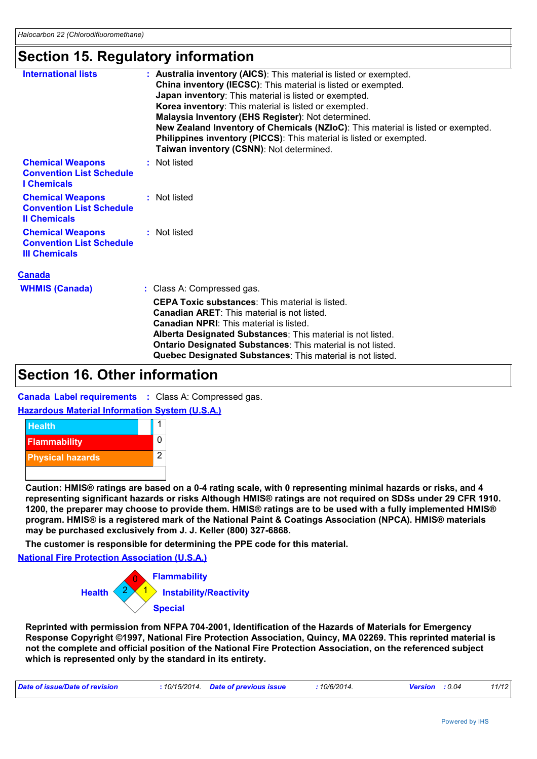### **Section 15. Regulatory information**

| <b>International lists</b>                                                         | : Australia inventory (AICS): This material is listed or exempted.                                                                                                                                  |
|------------------------------------------------------------------------------------|-----------------------------------------------------------------------------------------------------------------------------------------------------------------------------------------------------|
|                                                                                    | China inventory (IECSC): This material is listed or exempted.                                                                                                                                       |
|                                                                                    | Japan inventory: This material is listed or exempted.                                                                                                                                               |
|                                                                                    | Korea inventory: This material is listed or exempted.                                                                                                                                               |
|                                                                                    | Malaysia Inventory (EHS Register): Not determined.                                                                                                                                                  |
|                                                                                    | New Zealand Inventory of Chemicals (NZIoC): This material is listed or exempted.<br>Philippines inventory (PICCS): This material is listed or exempted.<br>Taiwan inventory (CSNN): Not determined. |
| <b>Chemical Weapons</b><br><b>Convention List Schedule</b><br><b>I</b> Chemicals   | : Not listed                                                                                                                                                                                        |
| <b>Chemical Weapons</b><br><b>Convention List Schedule</b><br><b>Il Chemicals</b>  | : Not listed                                                                                                                                                                                        |
| <b>Chemical Weapons</b><br><b>Convention List Schedule</b><br><b>III Chemicals</b> | : Not listed                                                                                                                                                                                        |
| <b>Canada</b>                                                                      |                                                                                                                                                                                                     |
| <b>WHMIS (Canada)</b>                                                              | : Class A: Compressed gas.                                                                                                                                                                          |
|                                                                                    | <b>CEPA Toxic substances: This material is listed.</b>                                                                                                                                              |

**Canadian ARET**: This material is not listed. **Canadian NPRI**: This material is listed.

**Alberta Designated Substances**: This material is not listed. **Ontario Designated Substances**: This material is not listed.

**Quebec Designated Substances**: This material is not listed.

### **Section 16. Other information**

**Canada Label requirements :** Class A: Compressed gas.

**Hazardous Material Information System (U.S.A.)**



**Caution: HMIS® ratings are based on a 0-4 rating scale, with 0 representing minimal hazards or risks, and 4 representing significant hazards or risks Although HMIS® ratings are not required on SDSs under 29 CFR 1910. 1200, the preparer may choose to provide them. HMIS® ratings are to be used with a fully implemented HMIS® program. HMIS® is a registered mark of the National Paint & Coatings Association (NPCA). HMIS® materials may be purchased exclusively from J. J. Keller (800) 327-6868.**

**The customer is responsible for determining the PPE code for this material.**

**National Fire Protection Association (U.S.A.)**



**Reprinted with permission from NFPA 704-2001, Identification of the Hazards of Materials for Emergency Response Copyright ©1997, National Fire Protection Association, Quincy, MA 02269. This reprinted material is not the complete and official position of the National Fire Protection Association, on the referenced subject which is represented only by the standard in its entirety.**

| 10/6/2014.<br>: 10/15/2014 Date of previous issue<br>Date of issue/Date of revision<br><b>Version</b> : 0.04 | 11/12 |
|--------------------------------------------------------------------------------------------------------------|-------|
|--------------------------------------------------------------------------------------------------------------|-------|